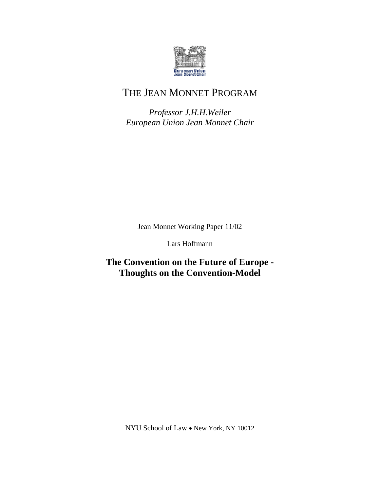

# THE JEAN MONNET PROGRAM

*Professor J.H.H.Weiler European Union Jean Monnet Chair*

Jean Monnet Working Paper 11/02

Lars Hoffmann

**The Convention on the Future of Europe - Thoughts on the Convention-Model**

NYU School of Law • New York, NY 10012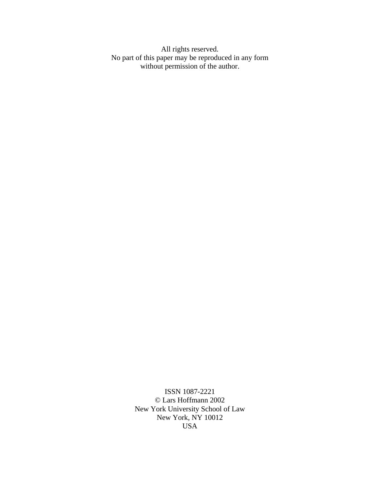All rights reserved. No part of this paper may be reproduced in any form without permission of the author.

> ISSN 1087-2221 © Lars Hoffmann 2002 New York University School of Law New York, NY 10012 USA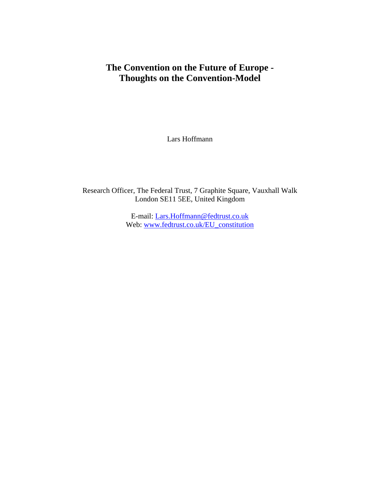## **The Convention on the Future of Europe - Thoughts on the Convention-Model**

Lars Hoffmann

Research Officer, The Federal Trust, 7 Graphite Square, Vauxhall Walk London SE11 5EE, United Kingdom

> E-mail: [Lars.Hoffmann@fedtrust.co.uk](mailto:Lars.Hoffmann@fedtrust.co.uk) Web: [www.fedtrust.co.uk/EU\\_constitution](http://www.fedtrust.co.uk/EU_constitution)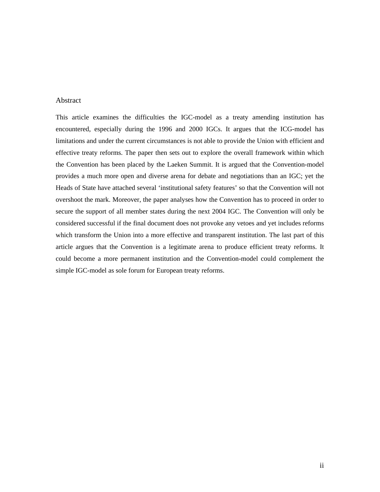#### Abstract

This article examines the difficulties the IGC-model as a treaty amending institution has encountered, especially during the 1996 and 2000 IGCs. It argues that the ICG-model has limitations and under the current circumstances is not able to provide the Union with efficient and effective treaty reforms. The paper then sets out to explore the overall framework within which the Convention has been placed by the Laeken Summit. It is argued that the Convention-model provides a much more open and diverse arena for debate and negotiations than an IGC; yet the Heads of State have attached several 'institutional safety features' so that the Convention will not overshoot the mark. Moreover, the paper analyses how the Convention has to proceed in order to secure the support of all member states during the next 2004 IGC. The Convention will only be considered successful if the final document does not provoke any vetoes and yet includes reforms which transform the Union into a more effective and transparent institution. The last part of this article argues that the Convention is a legitimate arena to produce efficient treaty reforms. It could become a more permanent institution and the Convention-model could complement the simple IGC-model as sole forum for European treaty reforms.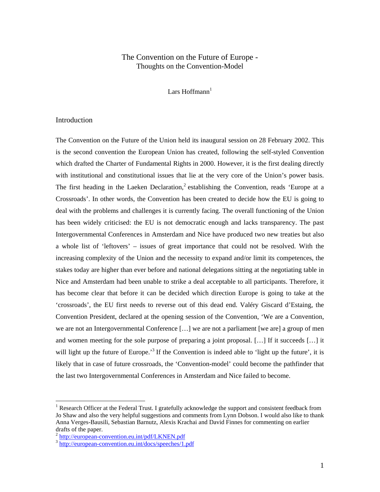### The Convention on the Future of Europe - Thoughts on the Convention-Model

Lars Hoffmann<sup>[1](#page-4-0)</sup>

#### Introduction

The Convention on the Future of the Union held its inaugural session on 28 February 2002. This is the second convention the European Union has created, following the self-styled Convention which drafted the Charter of Fundamental Rights in 2000. However, it is the first dealing directly with institutional and constitutional issues that lie at the very core of the Union's power basis. The first heading in the Laeken Declaration,<sup>[2](#page-4-1)</sup> establishing the Convention, reads 'Europe at a Crossroads'. In other words, the Convention has been created to decide how the EU is going to deal with the problems and challenges it is currently facing. The overall functioning of the Union has been widely criticised: the EU is not democratic enough and lacks transparency. The past Intergovernmental Conferences in Amsterdam and Nice have produced two new treaties but also a whole list of 'leftovers' – issues of great importance that could not be resolved. With the increasing complexity of the Union and the necessity to expand and/or limit its competences, the stakes today are higher than ever before and national delegations sitting at the negotiating table in Nice and Amsterdam had been unable to strike a deal acceptable to all participants. Therefore, it has become clear that before it can be decided which direction Europe is going to take at the 'crossroads', the EU first needs to reverse out of this dead end. Valéry Giscard d'Estaing, the Convention President, declared at the opening session of the Convention, 'We are a Convention, we are not an Intergovernmental Conference […] we are not a parliament [we are] a group of men and women meeting for the sole purpose of preparing a joint proposal. […] If it succeeds […] it will light up the future of Europe.<sup>[3](#page-4-2)</sup> If the Convention is indeed able to 'light up the future', it is likely that in case of future crossroads, the 'Convention-model' could become the pathfinder that the last two Intergovernmental Conferences in Amsterdam and Nice failed to become.

<span id="page-4-0"></span><sup>&</sup>lt;sup>1</sup> Research Officer at the Federal Trust. I gratefully acknowledge the support and consistent feedback from Jo Shaw and also the very helpful suggestions and comments from Lynn Dobson. I would also like to thank Anna Verges-Bausili, Sebastian Barnutz, Alexis Krachai and David Finnes for commenting on earlier drafts of the paper.<br><sup>2</sup> <http://european-convention.eu.int/pdf/LKNEN.pdf>

<span id="page-4-1"></span>

<span id="page-4-2"></span><sup>3</sup> <http://european-convention.eu.int/docs/speeches/1.pdf>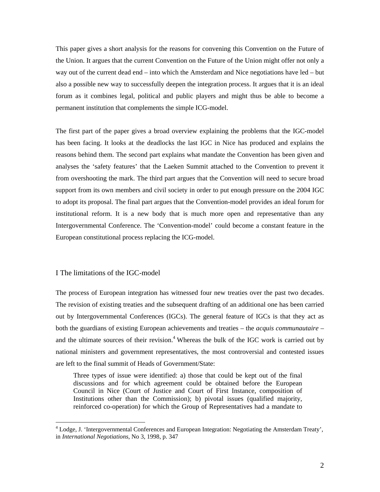This paper gives a short analysis for the reasons for convening this Convention on the Future of the Union. It argues that the current Convention on the Future of the Union might offer not only a way out of the current dead end – into which the Amsterdam and Nice negotiations have led – but also a possible new way to successfully deepen the integration process. It argues that it is an ideal forum as it combines legal, political and public players and might thus be able to become a permanent institution that complements the simple ICG-model.

The first part of the paper gives a broad overview explaining the problems that the IGC-model has been facing. It looks at the deadlocks the last IGC in Nice has produced and explains the reasons behind them. The second part explains what mandate the Convention has been given and analyses the 'safety features' that the Laeken Summit attached to the Convention to prevent it from overshooting the mark. The third part argues that the Convention will need to secure broad support from its own members and civil society in order to put enough pressure on the 2004 IGC to adopt its proposal. The final part argues that the Convention-model provides an ideal forum for institutional reform. It is a new body that is much more open and representative than any Intergovernmental Conference. The 'Convention-model' could become a constant feature in the European constitutional process replacing the ICG-model.

#### I The limitations of the IGC-model

 $\overline{a}$ 

The process of European integration has witnessed four new treaties over the past two decades. The revision of existing treaties and the subsequent drafting of an additional one has been carried out by Intergovernmental Conferences (IGCs). The general feature of IGCs is that they act as both the guardians of existing European achievements and treaties – the *acquis communautaire* – and the ultimate sources of their revision.<sup>[4](#page-5-0)</sup> Whereas the bulk of the IGC work is carried out by national ministers and government representatives, the most controversial and contested issues are left to the final summit of Heads of Government/State:

Three types of issue were identified: a) those that could be kept out of the final discussions and for which agreement could be obtained before the European Council in Nice (Court of Justice and Court of First Instance, composition of Institutions other than the Commission); b) pivotal issues (qualified majority, reinforced co-operation) for which the Group of Representatives had a mandate to

<span id="page-5-0"></span><sup>&</sup>lt;sup>4</sup> Lodge, J. 'Intergovernmental Conferences and European Integration: Negotiating the Amsterdam Treaty', in *International Negotiations*, No 3, 1998, p. 347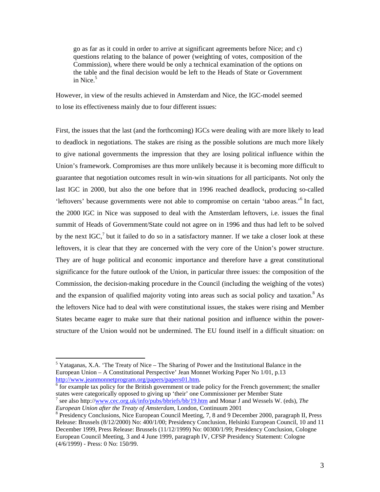go as far as it could in order to arrive at significant agreements before Nice; and c) questions relating to the balance of power (weighting of votes, composition of the Commission), where there would be only a technical examination of the options on the table and the final decision would be left to the Heads of State or Government in Nice.<sup>[5](#page-6-0)</sup>

However, in view of the results achieved in Amsterdam and Nice, the IGC-model seemed to lose its effectiveness mainly due to four different issues:

First, the issues that the last (and the forthcoming) IGCs were dealing with are more likely to lead to deadlock in negotiations. The stakes are rising as the possible solutions are much more likely to give national governments the impression that they are losing political influence within the Union's framework. Compromises are thus more unlikely because it is becoming more difficult to guarantee that negotiation outcomes result in win-win situations for all participants. Not only the last IGC in 2000, but also the one before that in 1996 reached deadlock, producing so-called 'leftovers'because governments were not able to compromise on certain 'taboo areas.'<sup>6</sup> In fact, the 2000 IGC in Nice was supposed to deal with the Amsterdam leftovers, i.e. issues the final summit of Heads of Government/State could not agree on in 1996 and thus had left to be solved by the next  $IGC<sub>i</sub><sup>7</sup>$  $IGC<sub>i</sub><sup>7</sup>$  $IGC<sub>i</sub><sup>7</sup>$  but it failed to do so in a satisfactory manner. If we take a closer look at these leftovers, it is clear that they are concerned with the very core of the Union's power structure. They are of huge political and economic importance and therefore have a great constitutional significance for the future outlook of the Union, in particular three issues: the composition of the Commission, the decision-making procedure in the Council (including the weighing of the votes) and the expansion of qualified majority voting into areas such as social policy and taxation.<sup>[8](#page-6-3)</sup> As the leftovers Nice had to deal with were constitutional issues, the stakes were rising and Member States became eager to make sure that their national position and influence within the powerstructure of the Union would not be undermined. The EU found itself in a difficult situation: on

<span id="page-6-0"></span> $<sup>5</sup>$  Yataganas, X.A. 'The Treaty of Nice – The Sharing of Power and the Institutional Balance in the</sup> European Union – A Constitutional Perspective' Jean Monnet Working Paper No 1/01, p.13 [http://www.jeanmonnetprogram.org/papers/papers01.htm.](http://www.jeanmonnetprogram.org/papers/papers01.htm)

<span id="page-6-1"></span> $\frac{6}{6}$  for example tax policy for the British government or trade policy for the French government; the smaller states were categorically opposed to giving up 'their' one Commissioner per Member State 7 see also http:/[/www.cec.org.uk/info/pubs/bbriefs/bb/19.htm](http://www.cec.org.uk/info/pubs/bbriefs/bb/19.htm) and Monar J and Wessels W. (eds)*, The* 

<span id="page-6-2"></span>*European Union after the Treaty of Amsterdam*, London, Continuum 2001

<span id="page-6-3"></span><sup>&</sup>lt;sup>8</sup> Presidency Conclusions, Nice European Council Meeting, 7, 8 and 9 December 2000, paragraph II, Press Release: Brussels (8/12/2000) No: 400/1/00; Presidency Conclusion, Helsinki European Council, 10 and 11 December 1999, Press Release: Brussels (11/12/1999) No: 00300/1/99; Presidency Conclusion, Cologne European Council Meeting, 3 and 4 June 1999, paragraph IV, CFSP Presidency Statement: Cologne (4/6/1999) - Press: 0 No: 150/99.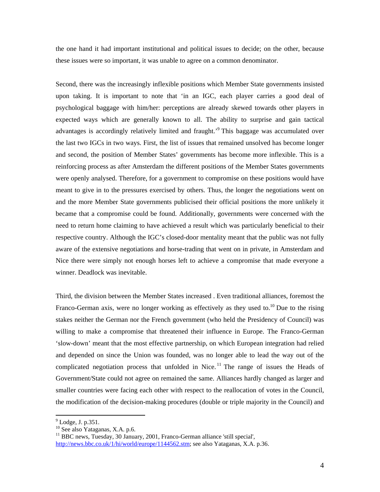the one hand it had important institutional and political issues to decide; on the other, because these issues were so important, it was unable to agree on a common denominator.

Second, there was the increasingly inflexible positions which Member State governments insisted upon taking. It is important to note that 'in an IGC, each player carries a good deal of psychological baggage with him/her: perceptions are already skewed towards other players in expected ways which are generally known to all. The ability to surprise and gain tactical advantages is accordingly relatively limited and fraught.<sup>9</sup> This baggage was accumulated over the last two IGCs in two ways. First, the list of issues that remained unsolved has become longer and second, the position of Member States' governments has become more inflexible. This is a reinforcing process as after Amsterdam the different positions of the Member States governments were openly analysed. Therefore, for a government to compromise on these positions would have meant to give in to the pressures exercised by others. Thus, the longer the negotiations went on and the more Member State governments publicised their official positions the more unlikely it became that a compromise could be found. Additionally, governments were concerned with the need to return home claiming to have achieved a result which was particularly beneficial to their respective country. Although the IGC's closed-door mentality meant that the public was not fully aware of the extensive negotiations and horse-trading that went on in private, in Amsterdam and Nice there were simply not enough horses left to achieve a compromise that made everyone a winner. Deadlock was inevitable.

Third, the division between the Member States increased . Even traditional alliances, foremost the Franco-German axis, were no longer working as effectively as they used to.<sup>[10](#page-7-1)</sup> Due to the rising stakes neither the German nor the French government (who held the Presidency of Council) was willing to make a compromise that threatened their influence in Europe. The Franco-German 'slow-down' meant that the most effective partnership, on which European integration had relied and depended on since the Union was founded, was no longer able to lead the way out of the complicated negotiation process that unfolded in Nice.<sup>[11](#page-7-2)</sup> The range of issues the Heads of Government/State could not agree on remained the same. Alliances hardly changed as larger and smaller countries were facing each other with respect to the reallocation of votes in the Council, the modification of the decision-making procedures (double or triple majority in the Council) and

<span id="page-7-0"></span> $<sup>9</sup>$  Lodge, J. p.351.</sup>

<span id="page-7-2"></span><span id="page-7-1"></span>

<sup>10</sup> See also Yataganas, X.A. p.6.<br><sup>10</sup> See also Yataganas, X.A. p.6.<br><sup>11</sup> BBC news, Tuesday, 30 January, 2001, Franco-German alliance 'still special', [http://news.bbc.co.uk/1/hi/world/europe/1144562.stm;](http://news.bbc.co.uk/1/hi/world/europe/1144562.stm) see also Yataganas, X.A. p.36.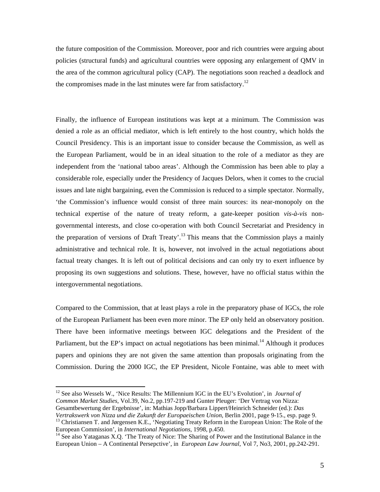the future composition of the Commission. Moreover, poor and rich countries were arguing about policies (structural funds) and agricultural countries were opposing any enlargement of QMV in the area of the common agricultural policy (CAP). The negotiations soon reached a deadlock and the compromises made in the last minutes were far from satisfactory.<sup>[12](#page-8-0)</sup>

Finally, the influence of European institutions was kept at a minimum. The Commission was denied a role as an official mediator, which is left entirely to the host country, which holds the Council Presidency. This is an important issue to consider because the Commission, as well as the European Parliament, would be in an ideal situation to the role of a mediator as they are independent from the 'national taboo areas'. Although the Commission has been able to play a considerable role, especially under the Presidency of Jacques Delors, when it comes to the crucial issues and late night bargaining, even the Commission is reduced to a simple spectator. Normally, 'the Commission's influence would consist of three main sources: its near-monopoly on the technical expertise of the nature of treaty reform, a gate-keeper position *vis-à-vis* nongovernmental interests, and close co-operation with both Council Secretariat and Presidency in the preparation of versions of Draft Treaty'.<sup>[13](#page-8-1)</sup> This means that the Commission plays a mainly administrative and technical role. It is, however, not involved in the actual negotiations about factual treaty changes. It is left out of political decisions and can only try to exert influence by proposing its own suggestions and solutions. These, however, have no official status within the intergovernmental negotiations.

Compared to the Commission, that at least plays a role in the preparatory phase of IGCs, the role of the European Parliament has been even more minor. The EP only held an observatory position. There have been informative meetings between IGC delegations and the President of the Parliament, but the EP's impact on actual negotiations has been minimal.<sup>14</sup> Although it produces papers and opinions they are not given the same attention than proposals originating from the Commission. During the 2000 IGC, the EP President, Nicole Fontaine, was able to meet with

<span id="page-8-0"></span>12 See also Wessels W., 'Nice Results: The Millennium IGC in the EU's Evolution', in *Journal of Common Market Studies*, Vol.39, No.2, pp.197-219 and Gunter Pleuger: 'Der Vertrag von Nizza: Gesamtbewertung der Ergebnisse', in: Mathias Jopp/Barbara Lippert/Heinrich Schneider (ed.): *Das* 

 $\overline{a}$ 

<span id="page-8-1"></span>*Vertrakswerk von Nizza und die Zukunft der Europaeischen Union*, Berlin 2001, page 9-15., esp. page 9.<br><sup>13</sup> Christiansen T. and Jørgensen K.E., 'Negotiating Treaty Reform in the European Union: The Role of the European Co

<span id="page-8-2"></span><sup>&</sup>lt;sup>14</sup> See also Yataganas X.Q. 'The Treaty of Nice: The Sharing of Power and the Institutional Balance in the European Union – A Continental Persepctive', in *European Law Journal*, Vol 7, No3, 2001, pp.242-291.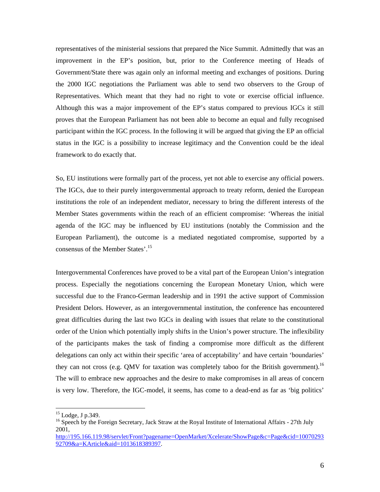representatives of the ministerial sessions that prepared the Nice Summit. Admittedly that was an improvement in the EP's position, but, prior to the Conference meeting of Heads of Government/State there was again only an informal meeting and exchanges of positions. During the 2000 IGC negotiations the Parliament was able to send two observers to the Group of Representatives. Which meant that they had no right to vote or exercise official influence. Although this was a major improvement of the EP's status compared to previous IGCs it still proves that the European Parliament has not been able to become an equal and fully recognised participant within the IGC process. In the following it will be argued that giving the EP an official status in the IGC is a possibility to increase legitimacy and the Convention could be the ideal framework to do exactly that.

So, EU institutions were formally part of the process, yet not able to exercise any official powers. The IGCs, due to their purely intergovernmental approach to treaty reform, denied the European institutions the role of an independent mediator, necessary to bring the different interests of the Member States governments within the reach of an efficient compromise: 'Whereas the initial agenda of the IGC may be influenced by EU institutions (notably the Commission and the European Parliament), the outcome is a mediated negotiated compromise, supported by a consensus of the Member States'. [15](#page-9-0) 

Intergovernmental Conferences have proved to be a vital part of the European Union's integration process. Especially the negotiations concerning the European Monetary Union, which were successful due to the Franco-German leadership and in 1991 the active support of Commission President Delors. However, as an intergovernmental institution, the conference has encountered great difficulties during the last two IGCs in dealing with issues that relate to the constitutional order of the Union which potentially imply shifts in the Union's power structure. The inflexibility of the participants makes the task of finding a compromise more difficult as the different delegations can only act within their specific 'area of acceptability' and have certain 'boundaries' they can not cross (e.g. QMV for taxation was completely taboo for the British government).<sup>[16](#page-9-1)</sup> The will to embrace new approaches and the desire to make compromises in all areas of concern is very low. Therefore, the IGC-model, it seems, has come to a dead-end as far as 'big politics'

<span id="page-9-0"></span> $15$  Lodge, J p.349.

<span id="page-9-1"></span><sup>&</sup>lt;sup>16</sup> Speech by the Foreign Secretary, Jack Straw at the Royal Institute of International Affairs - 27th July 2001,

[http://195.166.119.98/servlet/Front?pagename=OpenMarket/Xcelerate/ShowPage&c=Page&cid=10070293](http://195.166.119.98/servlet/Front?pagename=OpenMarket/Xcelerate/ShowPage&c=Page&cid=1007029392709&a=KArticle&aid=1013618389397) [92709&a=KArticle&aid=1013618389397](http://195.166.119.98/servlet/Front?pagename=OpenMarket/Xcelerate/ShowPage&c=Page&cid=1007029392709&a=KArticle&aid=1013618389397).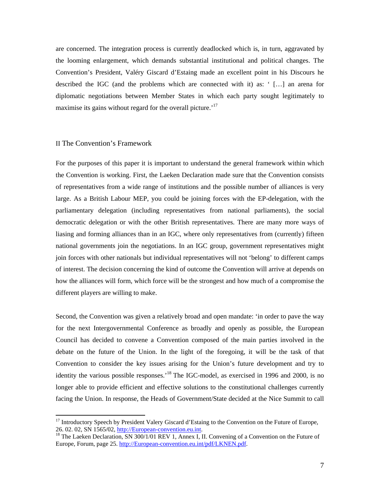are concerned. The integration process is currently deadlocked which is, in turn, aggravated by the looming enlargement, which demands substantial institutional and political changes. The Convention's President, Valéry Giscard d'Estaing made an excellent point in his Discours he described the IGC (and the problems which are connected with it) as: ' […] an arena for diplomatic negotiations between Member States in which each party sought legitimately to maximise its gains without regard for the overall picture.<sup>'[17](#page-10-0)</sup>

#### II The Convention's Framework

 $\overline{a}$ 

For the purposes of this paper it is important to understand the general framework within which the Convention is working. First, the Laeken Declaration made sure that the Convention consists of representatives from a wide range of institutions and the possible number of alliances is very large. As a British Labour MEP, you could be joining forces with the EP-delegation, with the parliamentary delegation (including representatives from national parliaments), the social democratic delegation or with the other British representatives. There are many more ways of liasing and forming alliances than in an IGC, where only representatives from (currently) fifteen national governments join the negotiations. In an IGC group, government representatives might join forces with other nationals but individual representatives will not 'belong' to different camps of interest. The decision concerning the kind of outcome the Convention will arrive at depends on how the alliances will form, which force will be the strongest and how much of a compromise the different players are willing to make.

Second, the Convention was given a relatively broad and open mandate: 'in order to pave the way for the next Intergovernmental Conference as broadly and openly as possible, the European Council has decided to convene a Convention composed of the main parties involved in the debate on the future of the Union. In the light of the foregoing, it will be the task of that Convention to consider the key issues arising for the Union's future development and try to identity the various possible responses.<sup>[18](#page-10-1)</sup> The IGC-model, as exercised in 1996 and 2000, is no longer able to provide efficient and effective solutions to the constitutional challenges currently facing the Union. In response, the Heads of Government/State decided at the Nice Summit to call

<span id="page-10-0"></span><sup>&</sup>lt;sup>17</sup> Introductory Speech by President Valery Giscard d'Estaing to the Convention on the Future of Europe,  $26.02.02$ , SN 1565/02, http://European-convention.eu.int.

<span id="page-10-1"></span><sup>&</sup>lt;sup>18</sup> The Laeken Declaration, SN 300/1/01 REV 1, Annex I, II. Convening of a Convention on the Future of Europe, Forum, page 25. [http://European-convention.eu.int/pdf/LKNEN.pdf.](http://european-convention.eu.int/pdf/LKNEN.pdf)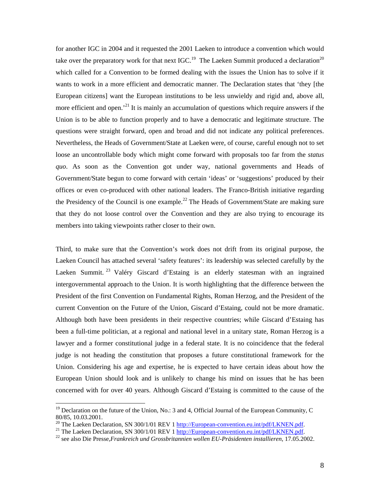for another IGC in 2004 and it requested the 2001 Laeken to introduce a convention which would take over the preparatory work for that next IGC.<sup>19</sup> The Laeken Summit produced a declaration<sup>20</sup> which called for a Convention to be formed dealing with the issues the Union has to solve if it wants to work in a more efficient and democratic manner. The Declaration states that 'they [the European citizens] want the European institutions to be less unwieldy and rigid and, above all, more efficient and open.<sup>[21](#page-11-2)</sup> It is mainly an accumulation of questions which require answers if the Union is to be able to function properly and to have a democratic and legitimate structure. The questions were straight forward, open and broad and did not indicate any political preferences. Nevertheless, the Heads of Government/State at Laeken were, of course, careful enough not to set loose an uncontrollable body which might come forward with proposals too far from the *status quo*. As soon as the Convention got under way, national governments and Heads of Government/State begun to come forward with certain 'ideas' or 'suggestions' produced by their offices or even co-produced with other national leaders. The Franco-British initiative regarding the Presidency of the Council is one example.<sup>[22](#page-11-3)</sup> The Heads of Government/State are making sure that they do not loose control over the Convention and they are also trying to encourage its members into taking viewpoints rather closer to their own.

Third, to make sure that the Convention's work does not drift from its original purpose, the Laeken Council has attached several 'safety features': its leadership was selected carefully by the Laeken Summit.<sup>[23](#page-11-4)</sup> Valéry Giscard d'Estaing is an elderly statesman with an ingrained intergovernmental approach to the Union. It is worth highlighting that the difference between the President of the first Convention on Fundamental Rights, Roman Herzog, and the President of the current Convention on the Future of the Union, Giscard d'Estaing, could not be more dramatic. Although both have been presidents in their respective countries; while Giscard d'Estaing has been a full-time politician, at a regional and national level in a unitary state, Roman Herzog is a lawyer and a former constitutional judge in a federal state. It is no coincidence that the federal judge is not heading the constitution that proposes a future constitutional framework for the Union. Considering his age and expertise, he is expected to have certain ideas about how the European Union should look and is unlikely to change his mind on issues that he has been concerned with for over 40 years. Although Giscard d'Estaing is committed to the cause of the

<span id="page-11-4"></span><span id="page-11-0"></span><sup>&</sup>lt;sup>19</sup> Declaration on the future of the Union, No.: 3 and 4, Official Journal of the European Community, C 80/85, 10.03.2001.<br><sup>20</sup> The Laeken Declaration, SN 300/1/01 REV 1 [http://European-convention.eu.int/pdf/LKNEN.pdf](http://european-convention.eu.int/pdf/LKNEN.pdf).<br><sup>21</sup> The Laeken Declaration, SN 300/1/01 REV 1 http://European-convention.eu.int/pdf/LKNEN.pdf.<br><sup>22</sup> see al

<span id="page-11-1"></span>

<span id="page-11-2"></span>

<span id="page-11-3"></span>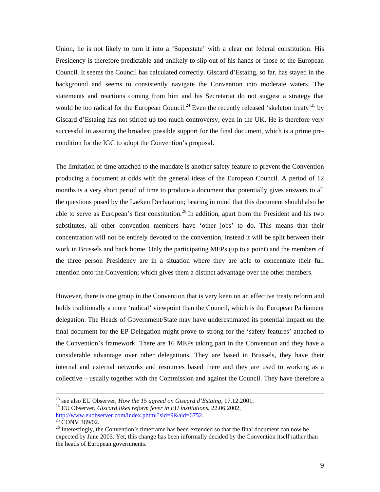Union, he is not likely to turn it into a 'Superstate' with a clear cut federal constitution. His Presidency is therefore predictable and unlikely to slip out of his hands or those of the European Council. It seems the Council has calculated correctly. Giscard d'Estaing, so far, has stayed in the background and seems to consistently navigate the Convention into moderate waters. The statements and reactions coming from him and his Secretariat do not suggest a strategy that would be too radical for the European Council.<sup>[24](#page-12-0)</sup> Even the recently released 'skeleton treaty'<sup>25</sup> by Giscard d'Estaing has not stirred up too much controversy, even in the UK. He is therefore very successful in assuring the broadest possible support for the final document, which is a prime precondition for the IGC to adopt the Convention's proposal.

The limitation of time attached to the mandate is another safety feature to prevent the Convention producing a document at odds with the general ideas of the European Council. A period of 12 months is a very short period of time to produce a document that potentially gives answers to all the questions posed by the Laeken Declaration; bearing in mind that this document should also be able to serve as European's first constitution.<sup>26</sup> In addition, apart from the President and his two substitutes, all other convention members have 'other jobs' to do. This means that their concentration will not be entirely devoted to the convention, instead it will be split between their work in Brussels and back home. Only the participating MEPs (up to a point) and the members of the three person Presidency are in a situation where they are able to concentrate their full attention onto the Convention; which gives them a distinct advantage over the other members.

However, there is one group in the Convention that is very keen on an effective treaty reform and holds traditionally a more 'radical' viewpoint than the Council, which is the European Parliament delegation. The Heads of Government/State may have underestimated its potential impact on the final document for the EP Delegation might prove to strong for the 'safety features' attached to the Convention's framework. There are 16 MEPs taking part in the Convention and they have a considerable advantage over other delegations. They are based in Brussels, they have their internal and external networks and resources based there and they are used to working as a collective – usually together with the Commission and against the Council. They have therefore a

<sup>&</sup>lt;sup>23</sup> see also EU Observer, *How the 15 agreed on Giscard d'Estaing*, 17.12.2001.<br><sup>24</sup> EU Observer, *Giscard likes reform fever in EU institutions*, 22.06.2002,

<span id="page-12-0"></span>

<span id="page-12-2"></span><span id="page-12-1"></span>

[http://www.euobserver.com/index.phtml?sid=9&aid=6752.](http://www.euobserver.com/index.phtml?sid=9&aid=6752)<br><sup>[25](http://www.euobserver.com/index.phtml?sid=9&aid=6752)</sup> CONV 369/02.<br><sup>26</sup> Interestingly, the Convention's timeframe has been extended so that the final document can now be expected by June 2003. Yet, this change has been informally decided by the Convention itself rather than the heads of European governments.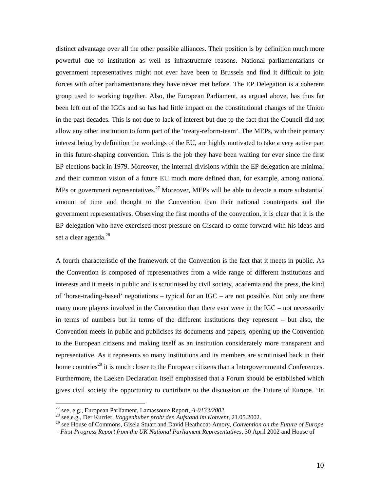<span id="page-13-2"></span>distinct advantage over all the other possible alliances. Their position is by definition much more powerful due to institution as well as infrastructure reasons. National parliamentarians or government representatives might not ever have been to Brussels and find it difficult to join forces with other parliamentarians they have never met before. The EP Delegation is a coherent group used to working together. Also, the European Parliament, as argued above, has thus far been left out of the IGCs and so has had little impact on the constitutional changes of the Union in the past decades. This is not due to lack of interest but due to the fact that the Council did not allow any other institution to form part of the 'treaty-reform-team'. The MEPs, with their primary interest being by definition the workings of the EU, are highly motivated to take a very active part in this future-shaping convention. This is the job they have been waiting for ever since the first EP elections back in 1979. Moreover, the internal divisions within the EP delegation are minimal and their common vision of a future EU much more defined than, for example, among national MPs or government representatives.<sup>[27](#page-13-0)</sup> Moreover, MEPs will be able to devote a more substantial amount of time and thought to the Convention than their national counterparts and the government representatives. Observing the first months of the convention, it is clear that it is the EP delegation who have exercised most pressure on Giscard to come forward with his ideas and set a clear agenda.<sup>[28](#page-13-1)</sup>

A fourth characteristic of the framework of the Convention is the fact that it meets in public. As the Convention is composed of representatives from a wide range of different institutions and interests and it meets in public and is scrutinised by civil society, academia and the press, the kind of 'horse-trading-based' negotiations – typical for an IGC – are not possible. Not only are there many more players involved in the Convention than there ever were in the IGC – not necessarily in terms of numbers but in terms of the different institutions they represent – but also, the Convention meets in public and publicises its documents and papers, opening up the Convention to the European citizens and making itself as an institution considerately more transparent and representative. As it represents so many institutions and its members are scrutinised back in their home countries<sup>29</sup> it is much closer to the European citizens than a Intergovernmental Conferences. Furthermore, the Laeken Declaration itself emphasised that a Forum should be established which gives civil society the opportunity to contribute to the discussion on the Future of Europe. 'In

<span id="page-13-1"></span><span id="page-13-0"></span>

<sup>27</sup> see, e.g., European Parliament, Lamassoure Report*, A-0133/2002*. 28 see,e.g., Der Kurrier, *Voggenhuber probt den Aufstand im Konvent*, 21.05.2002.

<sup>29</sup> see House of Commons, Gisela Stuart and David Heathcoat-Amory, *Convention on the Future of Europe* 

*<sup>–</sup> First Progress Report from the UK National Parliament Representatives*, 30 April 2002 and House of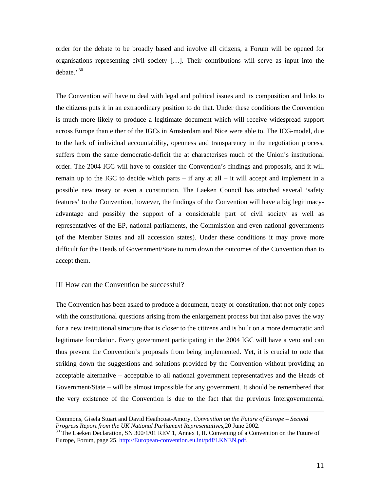order for the debate to be broadly based and involve all citizens, a Forum will be opened for organisations representing civil society […]. Their contributions will serve as input into the debate.' [30](#page-14-0)

The Convention will have to deal with legal and political issues and its composition and links to the citizens puts it in an extraordinary position to do that. Under these conditions the Convention is much more likely to produce a legitimate document which will receive widespread support across Europe than either of the IGCs in Amsterdam and Nice were able to. The ICG-model, due to the lack of individual accountability, openness and transparency in the negotiation process, suffers from the same democratic-deficit the at characterises much of the Union's institutional order. The 2004 IGC will have to consider the Convention's findings and proposals, and it will remain up to the IGC to decide which parts – if any at all – it will accept and implement in a possible new treaty or even a constitution. The Laeken Council has attached several 'safety features' to the Convention, however, the findings of the Convention will have a big legitimacyadvantage and possibly the support of a considerable part of civil society as well as representatives of the EP, national parliaments, the Commission and even national governments (of the Member States and all accession states). Under these conditions it may prove more difficult for the Heads of Government/State to turn down the outcomes of the Convention than to accept them.

#### III How can the Convention be successful?

The Convention has been asked to produce a document, treaty or constitution, that not only copes with the constitutional questions arising from the enlargement process but that also paves the way for a new institutional structure that is closer to the citizens and is built on a more democratic and legitimate foundation. Every government participating in the 2004 IGC will have a veto and can thus prevent the Convention's proposals from being implemented. Yet, it is crucial to note that striking down the suggestions and solutions provided by the Convention without providing an acceptable alternative – acceptable to all national government representatives and the Heads of Government/State – will be almost impossible for any government. It should be remembered that the very existence of the Convention is due to the fact that the previous Intergovernmental

Commons, Gisela Stuart and David Heathcoat-Amory, *Convention on the Future of Europe – Second Progress Report from the UK National Parliament Representatives*, 20 June 2002.<br><sup>30</sup> The Laeken Declaration, SN 300/1/01 REV 1, Annex I, II. Convening of a Convention on the Future of

<span id="page-14-0"></span>Europe, Forum, page 25. [http://European-convention.eu.int/pdf/LKNEN.pdf.](http://european-convention.eu.int/pdf/LKNEN.pdf)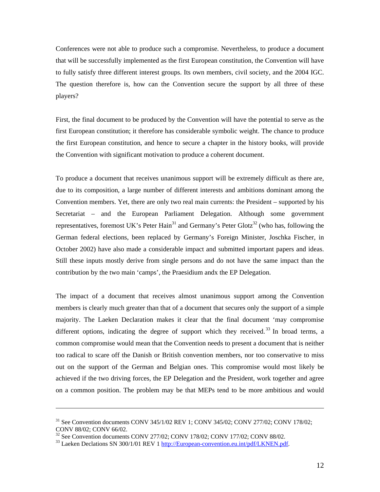Conferences were not able to produce such a compromise. Nevertheless, to produce a document that will be successfully implemented as the first European constitution, the Convention will have to fully satisfy three different interest groups. Its own members, civil society, and the 2004 IGC. The question therefore is, how can the Convention secure the support by all three of these players?

First, the final document to be produced by the Convention will have the potential to serve as the first European constitution; it therefore has considerable symbolic weight. The chance to produce the first European constitution, and hence to secure a chapter in the history books, will provide the Convention with significant motivation to produce a coherent document.

To produce a document that receives unanimous support will be extremely difficult as there are, due to its composition, a large number of different interests and ambitions dominant among the Convention members. Yet, there are only two real main currents: the President – supported by his Secretariat – and the European Parliament Delegation. Although some government representatives, foremost UK's Peter Hain<sup>[31](#page-15-0)</sup> and Germany's Peter Glotz<sup>[32](#page-15-1)</sup> (who has, following the German federal elections, been replaced by Germany's Foreign Minister, Joschka Fischer, in October 2002) have also made a considerable impact and submitted important papers and ideas. Still these inputs mostly derive from single persons and do not have the same impact than the contribution by the two main 'camps', the Praesidium andx the EP Delegation.

The impact of a document that receives almost unanimous support among the Convention members is clearly much greater than that of a document that secures only the support of a simple majority. The Laeken Declaration makes it clear that the final document 'may compromise different options, indicating the degree of support which they received.<sup>[33](#page-15-2)</sup> In broad terms, a common compromise would mean that the Convention needs to present a document that is neither too radical to scare off the Danish or British convention members, nor too conservative to miss out on the support of the German and Belgian ones. This compromise would most likely be achieved if the two driving forces, the EP Delegation and the President, work together and agree on a common position. The problem may be that MEPs tend to be more ambitious and would

1

<span id="page-15-0"></span><sup>&</sup>lt;sup>31</sup> See Convention documents CONV 345/1/02 REV 1; CONV 345/02; CONV 277/02; CONV 178/02; CONV 88/02; CONV 66/02.

<span id="page-15-1"></span><sup>&</sup>lt;sup>32</sup> See Convention documents CONV 277/02; CONV 178/02; CONV 177/02; CONV 88/02.<br><sup>33</sup> Laeken Declations SN 300/1/01 REV 1 [http://European-convention.eu.int/pdf/LKNEN.pdf.](http://european-convention.eu.int/pdf/LKNEN.pdf)

<span id="page-15-2"></span>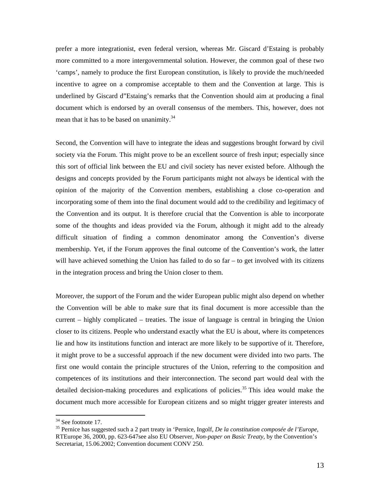prefer a more integrationist, even federal version, whereas Mr. Giscard d'Estaing is probably more committed to a more intergovernmental solution. However, the common goal of these two 'camps', namely to produce the first European constitution, is likely to provide the much/needed incentive to agree on a compromise acceptable to them and the Convention at large. This is underlined by Giscard d"Estaing's remarks that the Convention should aim at producing a final document which is endorsed by an overall consensus of the members. This, however, does not mean that it has to be based on unanimity.<sup>[34](#page-16-0)</sup>

Second, the Convention will have to integrate the ideas and suggestions brought forward by civil society via the Forum. This might prove to be an excellent source of fresh input; especially since this sort of official link between the EU and civil society has never existed before. Although the designs and concepts provided by the Forum participants might not always be identical with the opinion of the majority of the Convention members, establishing a close co-operation and incorporating some of them into the final document would add to the credibility and legitimacy of the Convention and its output. It is therefore crucial that the Convention is able to incorporate some of the thoughts and ideas provided via the Forum, although it might add to the already difficult situation of finding a common denominator among the Convention's diverse membership. Yet, if the Forum approves the final outcome of the Convention's work, the latter will have achieved something the Union has failed to do so far – to get involved with its citizens in the integration process and bring the Union closer to them.

Moreover, the support of the Forum and the wider European public might also depend on whether the Convention will be able to make sure that its final document is more accessible than the current – highly complicated – treaties. The issue of language is central in bringing the Union closer to its citizens. People who understand exactly what the EU is about, where its competences lie and how its institutions function and interact are more likely to be supportive of it. Therefore, it might prove to be a successful approach if the new document were divided into two parts. The first one would contain the principle structures of the Union, referring to the composition and competences of its institutions and their interconnection. The second part would deal with the detailed decision-making procedures and explications of policies.<sup>[35](#page-16-1)</sup> This idea would make the document much more accessible for European citizens and so might trigger greater interests and

<span id="page-16-1"></span><span id="page-16-0"></span>

<sup>34</sup> See footnote 17. 35 Pernice has suggested such a 2 part treaty in 'Pernice, Ingolf, *De la constitution composée de l'Europe*, RTEurope 36, 2000, pp. 623-647see also EU Observer, *Non-paper on Basic Treaty*, by the Convention's Secretariat, 15.06.2002; Convention document CONV 250.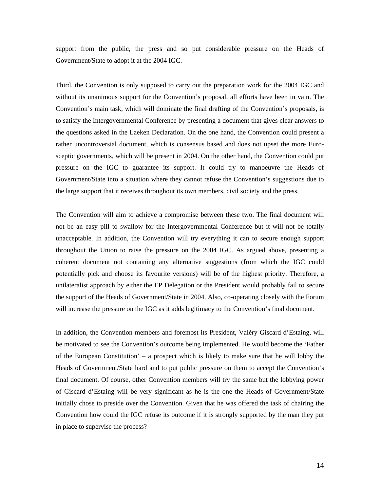support from the public, the press and so put considerable pressure on the Heads of Government/State to adopt it at the 2004 IGC.

Third, the Convention is only supposed to carry out the preparation work for the 2004 IGC and without its unanimous support for the Convention's proposal, all efforts have been in vain. The Convention's main task, which will dominate the final drafting of the Convention's proposals, is to satisfy the Intergovernmental Conference by presenting a document that gives clear answers to the questions asked in the Laeken Declaration. On the one hand, the Convention could present a rather uncontroversial document, which is consensus based and does not upset the more Eurosceptic governments, which will be present in 2004. On the other hand, the Convention could put pressure on the IGC to guarantee its support. It could try to manoeuvre the Heads of Government/State into a situation where they cannot refuse the Convention's suggestions due to the large support that it receives throughout its own members, civil society and the press.

The Convention will aim to achieve a compromise between these two. The final document will not be an easy pill to swallow for the Intergovernmental Conference but it will not be totally unacceptable. In addition, the Convention will try everything it can to secure enough support throughout the Union to raise the pressure on the 2004 IGC. As argued above, presenting a coherent document not containing any alternative suggestions (from which the IGC could potentially pick and choose its favourite versions) will be of the highest priority. Therefore, a unilateralist approach by either the EP Delegation or the President would probably fail to secure the support of the Heads of Government/State in 2004. Also, co-operating closely with the Forum will increase the pressure on the IGC as it adds legitimacy to the Convention's final document.

In addition, the Convention members and foremost its President, Valéry Giscard d'Estaing, will be motivated to see the Convention's outcome being implemented. He would become the 'Father of the European Constitution' – a prospect which is likely to make sure that he will lobby the Heads of Government/State hard and to put public pressure on them to accept the Convention's final document. Of course, other Convention members will try the same but the lobbying power of Giscard d'Estaing will be very significant as he is the one the Heads of Government/State initially chose to preside over the Convention. Given that he was offered the task of chairing the Convention how could the IGC refuse its outcome if it is strongly supported by the man they put in place to supervise the process?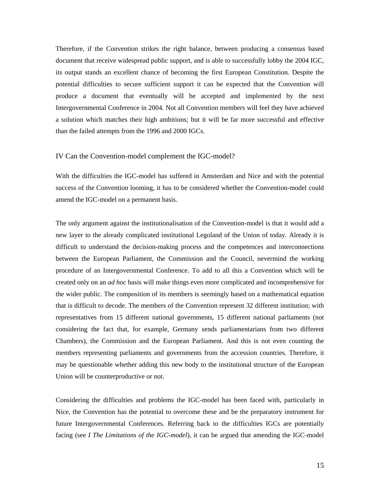Therefore, if the Convention strikes the right balance, between producing a consensus based document that receive widespread public support, and is able to successfully lobby the 2004 IGC, its output stands an excellent chance of becoming the first European Constitution. Despite the potential difficulties to secure sufficient support it can be expected that the Convention will produce a document that eventually will be accepted and implemented by the next Intergovernmental Conference in 2004. Not all Convention members will feel they have achieved a solution which matches their high ambitions; but it will be far more successful and effective than the failed attempts from the 1996 and 2000 IGCs.

#### IV Can the Convention-model complement the IGC-model?

With the difficulties the IGC-model has suffered in Amsterdam and Nice and with the potential success of the Convention looming, it has to be considered whether the Convention-model could amend the IGC-model on a permanent basis.

The only argument against the institutionalisation of the Convention-model is that it would add a new layer to the already complicated institutional Legoland of the Union of today. Already it is difficult to understand the decision-making process and the competences and interconnections between the European Parliament, the Commission and the Council, nevermind the working procedure of an Intergovernmental Conference. To add to all this a Convention which will be created only on an *ad hoc* basis will make things even more complicated and incomprehensive for the wider public. The composition of its members is seemingly based on a mathematical equation that is difficult to decode. The members of the Convention represent 32 different institution; with representatives from 15 different national governments, 15 different national parliaments (not considering the fact that, for example, Germany sends parliamentarians from two different Chambers), the Commission and the European Parliament. And this is not even counting the members representing parliaments and governments from the accession countries. Therefore, it may be questionable whether adding this new body to the institutional structure of the European Union will be counterproductive or not.

Considering the difficulties and problems the IGC-model has been faced with, particularly in Nice, the Convention has the potential to overcome these and be the preparatory instrument for future Intergovernmental Conferences. Referring back to the difficulties IGCs are potentially facing (see *I The Limitations of the IGC-model*), it can be argued that amending the IGC-model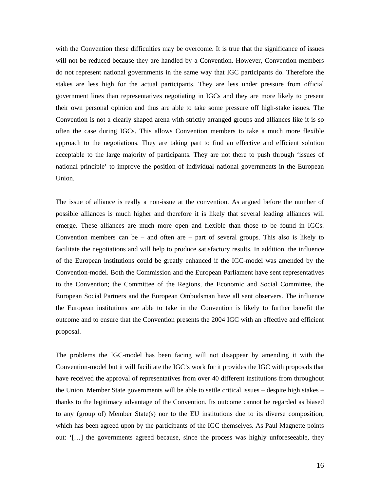with the Convention these difficulties may be overcome. It is true that the significance of issues will not be reduced because they are handled by a Convention. However, Convention members do not represent national governments in the same way that IGC participants do. Therefore the stakes are less high for the actual participants. They are less under pressure from official government lines than representatives negotiating in IGCs and they are more likely to present their own personal opinion and thus are able to take some pressure off high-stake issues. The Convention is not a clearly shaped arena with strictly arranged groups and alliances like it is so often the case during IGCs. This allows Convention members to take a much more flexible approach to the negotiations. They are taking part to find an effective and efficient solution acceptable to the large majority of participants. They are not there to push through 'issues of national principle' to improve the position of individual national governments in the European Union.

The issue of alliance is really a non-issue at the convention. As argued before the number of possible alliances is much higher and therefore it is likely that several leading alliances will emerge. These alliances are much more open and flexible than those to be found in IGCs. Convention members can be – and often are – part of several groups. This also is likely to facilitate the negotiations and will help to produce satisfactory results. In addition, the influence of the European institutions could be greatly enhanced if the IGC-model was amended by the Convention-model. Both the Commission and the European Parliament have sent representatives to the Convention; the Committee of the Regions, the Economic and Social Committee, the European Social Partners and the European Ombudsman have all sent observers. The influence the European institutions are able to take in the Convention is likely to further benefit the outcome and to ensure that the Convention presents the 2004 IGC with an effective and efficient proposal.

The problems the IGC-model has been facing will not disappear by amending it with the Convention-model but it will facilitate the IGC's work for it provides the IGC with proposals that have received the approval of representatives from over 40 different institutions from throughout the Union. Member State governments will be able to settle critical issues – despite high stakes – thanks to the legitimacy advantage of the Convention. Its outcome cannot be regarded as biased to any (group of) Member State(s) nor to the EU institutions due to its diverse composition, which has been agreed upon by the participants of the IGC themselves. As Paul Magnette points out: '[…] the governments agreed because, since the process was highly unforeseeable, they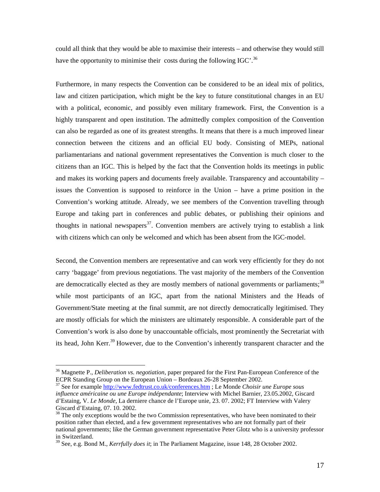could all think that they would be able to maximise their interests – and otherwise they would still have the opportunity to minimise their costs during the following  $IGC^3$ .<sup>[36](#page-20-0)</sup>

Furthermore, in many respects the Convention can be considered to be an ideal mix of politics, law and citizen participation, which might be the key to future constitutional changes in an EU with a political, economic, and possibly even military framework. First, the Convention is a highly transparent and open institution. The admittedly complex composition of the Convention can also be regarded as one of its greatest strengths. It means that there is a much improved linear connection between the citizens and an official EU body. Consisting of MEPs, national parliamentarians and national government representatives the Convention is much closer to the citizens than an IGC. This is helped by the fact that the Convention holds its meetings in public and makes its working papers and documents freely available. Transparency and accountability – issues the Convention is supposed to reinforce in the Union – have a prime position in the Convention's working attitude. Already, we see members of the Convention travelling through Europe and taking part in conferences and public debates, or publishing their opinions and thoughts in national newspapers<sup>37</sup>. Convention members are actively trying to establish a link with citizens which can only be welcomed and which has been absent from the IGC-model.

Second, the Convention members are representative and can work very efficiently for they do not carry 'baggage' from previous negotiations. The vast majority of the members of the Convention are democratically elected as they are mostly members of national governments or parliaments;<sup>38</sup> while most participants of an IGC, apart from the national Ministers and the Heads of Government/State meeting at the final summit, are not directly democratically legitimised. They are mostly officials for which the ministers are ultimately responsible. A considerable part of the Convention's work is also done by unaccountable officials, most prominently the Secretariat with its head, John Kerr.<sup>[39](#page-20-3)</sup> However, due to the Convention's inherently transparent character and the

<span id="page-20-0"></span><sup>&</sup>lt;sup>36</sup> Magnette P., *Deliberation vs. negotiation*, paper prepared for the First Pan-European Conference of the ECPR Standing Group on the European Union – Bordeaux 26-28 September 2002.

<span id="page-20-1"></span><sup>&</sup>lt;sup>37</sup> See for example <http://www.fedtrust.co.uk/conferences.htm>; Le Monde *Choisir une Europe sous influence américaine ou une Europe indépendante*; Interview with Michel Barnier, 23.05.2002, Giscard d'Estaing, V. *Le Monde*, La derniere chance de l'Europe unie, 23. 07. 2002; FT Interview with Valery Giscard d'Estaing, 07. 10. 2002.<br><sup>38</sup> The only exceptions would be the two Commission representatives, who have been nominated to their

<span id="page-20-2"></span>position rather than elected, and a few government representatives who are not formally part of their national governments; like the German government representative Peter Glotz who is a university professor

<span id="page-20-3"></span><sup>&</sup>lt;sup>39</sup> See, e.g. Bond M., *Kerrfully does it*; in The Parliament Magazine, issue 148, 28 October 2002.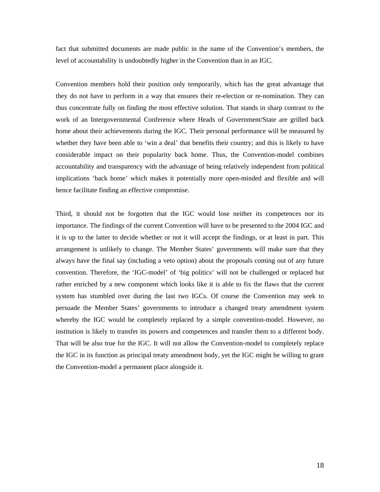fact that submitted documents are made public in the name of the Convention's members, the level of accountability is undoubtedly higher in the Convention than in an IGC.

Convention members hold their position only temporarily, which has the great advantage that they do not have to perform in a way that ensures their re-election or re-nomination. They can thus concentrate fully on finding the most effective solution. That stands in sharp contrast to the work of an Intergovernmental Conference where Heads of Government/State are grilled back home about their achievements during the IGC. Their personal performance will be measured by whether they have been able to 'win a deal' that benefits their country; and this is likely to have considerable impact on their popularity back home. Thus, the Convention-model combines accountability and transparency with the advantage of being relatively independent from political implications 'back home' which makes it potentially more open-minded and flexible and will hence facilitate finding an effective compromise.

Third, it should not be forgotten that the IGC would lose neither its competences nor its importance. The findings of the current Convention will have to be presented to the 2004 IGC and it is up to the latter to decide whether or not it will accept the findings, or at least in part. This arrangement is unlikely to change. The Member States' governments will make sure that they always have the final say (including a veto option) about the proposals coming out of any future convention. Therefore, the 'IGC-model' of 'big politics' will not be challenged or replaced but rather enriched by a new component which looks like it is able to fix the flaws that the current system has stumbled over during the last two IGCs. Of course the Convention may seek to persuade the Member States' governments to introduce a changed treaty amendment system whereby the IGC would be completely replaced by a simple convention-model. However, no institution is likely to transfer its powers and competences and transfer them to a different body. That will be also true for the IGC. It will not allow the Convention-model to completely replace the IGC in its function as principal treaty amendment body, yet the IGC might be willing to grant the Convention-model a permanent place alongside it.